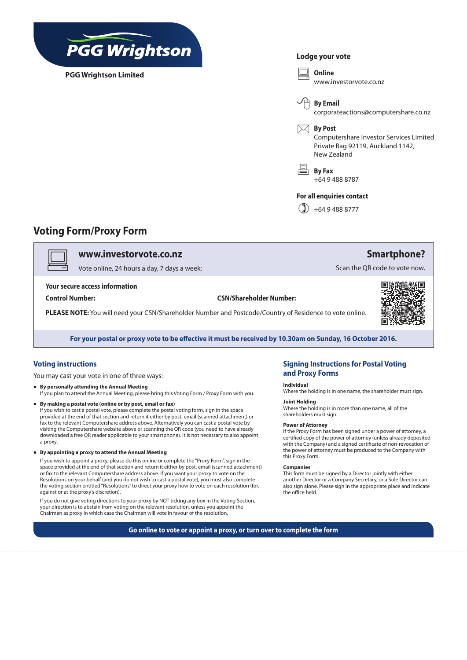

**PGG Wrightson Limited**

## **Lodge your vote**



## **Voting Form/Proxy Form**

v **www.investorvote.co.nz**

Vote online, 24 hours a day, 7 days a week:

**Your secure access information**

**Control Number: CSN/Shareholder Number:**

**PLEASE NOTE:** You will need your CSN/Shareholder Number and Postcode/Country of Residence to vote online.



**Smartphone?**

Scan the QR code to vote now.

**For your postal or proxy vote to be effective it must be received by 10.30am on Sunday, 16 October 2016.**

## **Voting instructions**

You may cast your vote in one of three ways:

- **• By personally attending the Annual Meeting** If you plan to attend the Annual Meeting, please bring this Voting Form / Proxy Form with you.
- **• By making a postal vote (online or by post, email or fax)**  If you wish to cast a postal vote, please complete the postal voting form, sign in the space provided at the end of that section and return it either by post, email (scanned attachment) or fax to the relevant Computershare address above. Alternatively you can cast a postal vote by visiting the Computershare website above or scanning the QR code (you need to have already downloaded a free QR reader applicable to your smartphone). It is not necessary to also appoint a proxy.
- **• By appointing a proxy to attend the Annual Meeting**

If you wish to appoint a proxy, please do this online or complete the "Proxy Form", sign in the space provided at the end of that section and return it either by post, email (scanned attachment) or fax to the relevant Computershare address above. If you want your proxy to vote on the Resolutions on your behalf (and you do not wish to cast a postal vote), you must also complete the voting section entitled "Resolutions" to direct your proxy how to vote on each resolution (for, against or at the proxy's discretion).

If you do not give voting directions to your proxy by NOT ticking any box in the Voting Section, your direction is to abstain from voting on the relevant resolution, unless you appoint the Chairman as proxy in which case the Chairman will vote in favour of the resolution.

## **Signing Instructions for Postal Voting and Proxy Forms**

### **Individual**

Where the holding is in one name, the shareholder must sign.

## **Joint Holding**

Where the holding is in more than one name, all of the shareholders must sign.

#### **Power of Attorney**

If the Proxy Form has been signed under a power of attorney, a certified copy of the power of attorney (unless already deposited with the Company) and a signed certificate of non-revocation of the power of attorney must be produced to the Company with this Proxy Form.

#### **Companies**

This form must be signed by a Director jointly with either another Director or a Company Secretary, or a Sole Director can also sign alone. Please sign in the appropriate place and indicate the office held.

**Go online to vote or appoint a proxy, or turn over to complete the form**